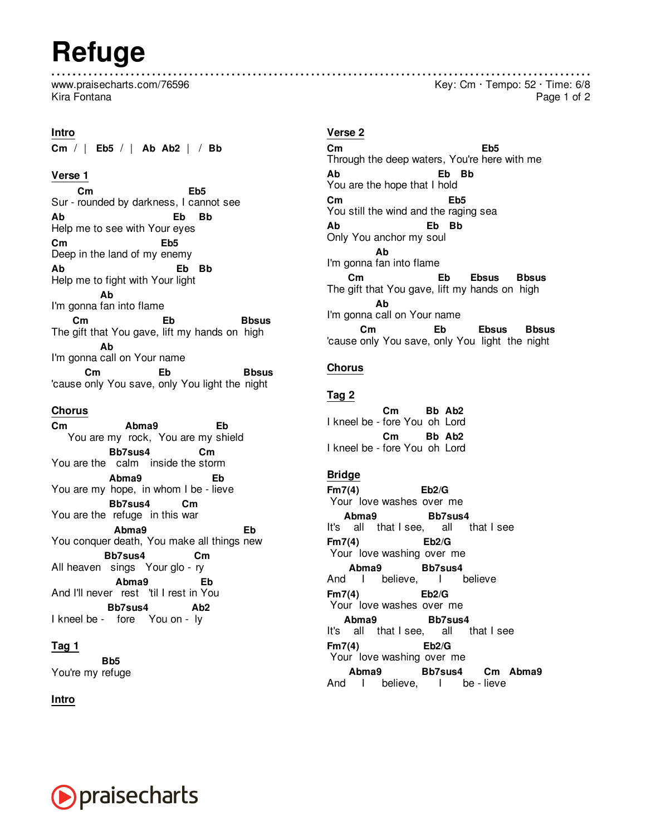# **Refuge**

www.praisecharts.com/76596 Kira Fontana

**Intro Cm** / | **Eb5** / | **Ab Ab2** | / **Bb**

# **Verse 1**

**Cm** Sur - rounded by darkness, I cannot see **Eb5 Ab** Help me to see with Your eyes **Eb Bb Cm** Deep in the land of my enemy **Eb5 Ab** Help me to fight with Your light **Eb Bb** I'm gonna fan into flame **Ab** The gift that You gave, lift my hands on high **Cm Eb Bbsus** I'm gonna call on Your name **Ab** 'cause only You save, only You light the night **Cm Eb Bbsus**

#### **Chorus**

**Cm** You are my rock, You are my shield **Abma9 Eb** You are the calm inside the storm **Bb7sus4 Cm** You are my hope, in whom I be - lieve **Abma9 Eb** You are the refuge in this war **Bb7sus4 Cm** You conquer death, You make all things new **Abma9 Eb** All heaven sings Your glo - ry **Bb7sus4 Cm** And I'll never rest 'til I rest in You **Abma9 Eb** I kneel be - fore You on - ly **Bb7sus4 Ab2**

# **Tag 1**

You're my refuge **Bb5**

**Intro**

# **Verse 2**

**Cm** Through the deep waters, You're here with me **Eb5 Ab** You are the hope that I hold **Eb Bb Cm** You still the wind and the raging sea **Eb5 Ab** Only You anchor my soul **Eb Bb** I'm gonna fan into flame **Ab** The gift that You gave, lift my hands on high **Cm Eb Ebsus Bbsus** I'm gonna call on Your name **Ab** 'cause only You save, only You light the night **Cm Eb Ebsus Bbsus**

# **Chorus**

#### **Tag 2**

I kneel be - fore You oh Lord **Cm Bb Ab2** I kneel be - fore You oh Lord **Cm Bb Ab2**

# **Bridge**

**Fm7(4)** Your love washes over me **Eb2/G** It's all that I see, all that I see **Abma9 Bb7sus4 Fm7(4)** Your love washing over me **Eb2/G** And I believe, I believe **Abma9 Bb7sus4 Fm7(4)** Your love washes over me **Eb2/G** It's all that I see, all that I see **Abma9 Bb7sus4 Fm7(4)** Your love washing over me **Eb2/G** And I believe, I be-lieve **Abma9 Bb7sus4 Cm Abma9**



Key: Cm · Tempo: 52 · Time: 6/8

Page 1 of 2